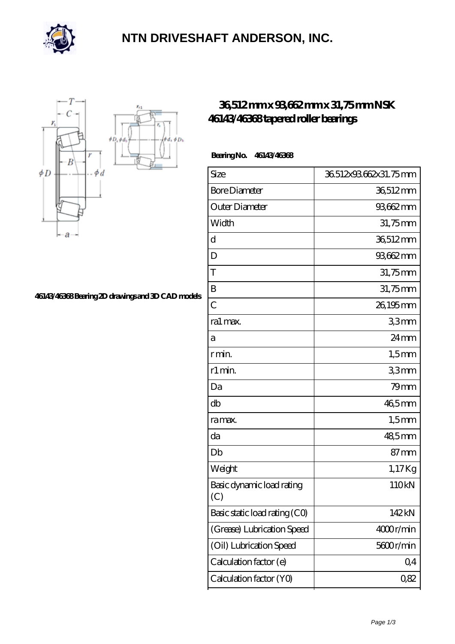

### **[NTN DRIVESHAFT ANDERSON, INC.](https://m.flash-igre.net)**



#### **[46143/46368 Bearing 2D drawings and 3D CAD models](https://m.flash-igre.net/pic-438307.html)**

### **[36,512 mm x 93,662 mm x 31,75 mm NSK](https://m.flash-igre.net/bb-438307-nsk-46143-46368-tapered-roller-bearings.html) [46143/46368 tapered roller bearings](https://m.flash-igre.net/bb-438307-nsk-46143-46368-tapered-roller-bearings.html)**

#### **Bearing No. 46143/46368**

| Size                             | 36.512x93.662x31.75mm |
|----------------------------------|-----------------------|
| <b>Bore Diameter</b>             | 36,512mm              |
| Outer Diameter                   | 93,662 mm             |
| Width                            | 31,75mm               |
| d                                | 36,512mm              |
| D                                | 93,662mm              |
| T                                | 31,75mm               |
| B                                | 31,75mm               |
| $\overline{C}$                   | 26,195mm              |
| ra1 max.                         | 33mm                  |
| а                                | $24 \,\mathrm{mm}$    |
| r min.                           | $1,5$ mm              |
| r1 min.                          | 33mm                  |
| Da                               | $79$ mm               |
| db                               | 46,5mm                |
| ra max.                          | $1,5$ mm              |
| da                               | 48,5mm                |
| Db                               | $87 \,\mathrm{mm}$    |
| Weight                           | 1,17Kg                |
| Basic dynamic load rating<br>(C) | 110kN                 |
| Basic static load rating (CO)    | 142kN                 |
| (Grease) Lubrication Speed       | 4000r/min             |
| (Oil) Lubrication Speed          | 5600r/min             |
| Calculation factor (e)           | Q <sub>4</sub>        |
| Calculation factor (YO)          | 0,82                  |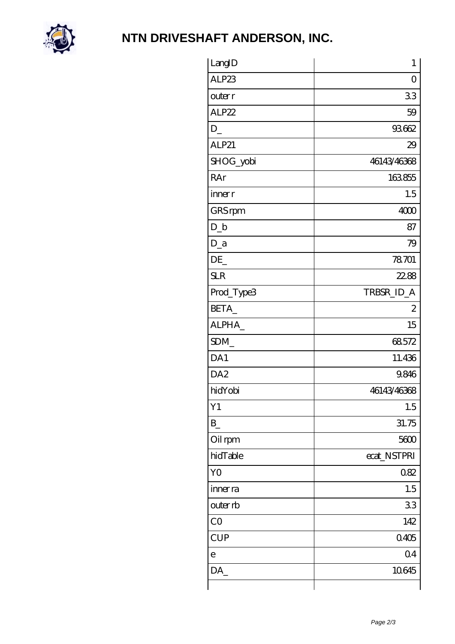

# **[NTN DRIVESHAFT ANDERSON, INC.](https://m.flash-igre.net)**

| LangID          | $\mathbf{1}$   |
|-----------------|----------------|
| ALP23           | 0              |
| outer r         | 33             |
| ALP22           | 59             |
| $D_{-}$         | 93662          |
| ALP21           | 29             |
| SHOG_yobi       | 46143/46368    |
| RAr             | 163855         |
| inner r         | 1.5            |
| GRS rpm         | 4000           |
| $D_{b}$         | 87             |
| $D_a$           | 79             |
| DE              | 78701          |
| <b>SLR</b>      | 22.88          |
| Prod_Type3      | TRBSR_ID_A     |
| BETA_           | $\mathbf{z}$   |
| ALPHA_          | 15             |
| SDM_            | 68572          |
| DA1             | 11.436         |
| DA <sub>2</sub> | 9.846          |
| hidYobi         | 46143/46368    |
| Y1              | 1.5            |
| $B_{-}$         | 31.75          |
| Oil rpm         | 5600           |
| hidTable        | ecat_NSTPRI    |
| YO              | 082            |
| inner ra        | 1.5            |
| outer rb        | 33             |
| CO              | 142            |
| <b>CUP</b>      | 0.405          |
| $\mathbf e$     | Q <sub>4</sub> |
| DA              | 10645          |
|                 |                |